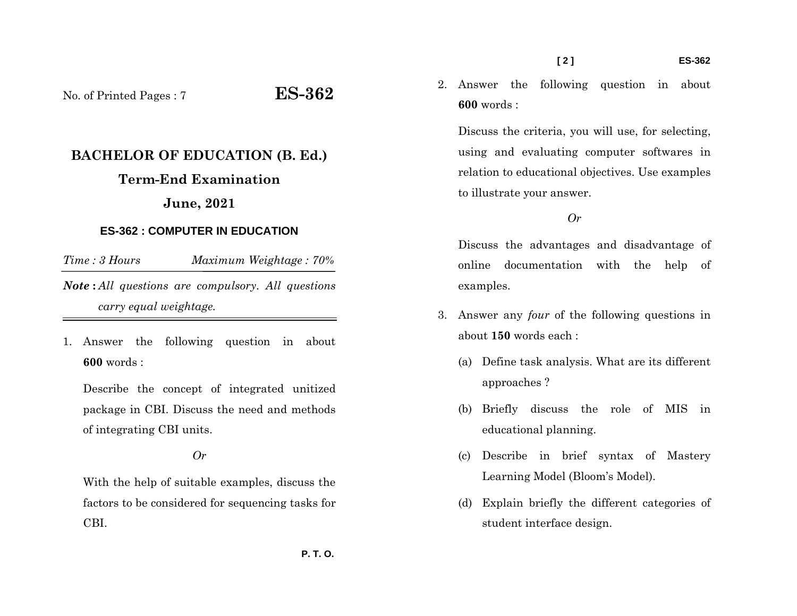- 2. Answer the following question in about
- **600** words :

Discuss the criteria, you will use, for selecting, using and evaluating computer softwares in relation to educational objectives. Use examples to illustrate your answer.

## *Or*

Discuss the advantages and disadvantage of online documentation with the help of examples.

- 3. Answer any *four* of the following questions in about **150** words each :
	- (a) Define task analysis. What are its different approaches ?
	- (b) Briefly discuss the role of MIS in educational planning.
	- (c) Describe in brief syntax of Mastery Learning Model (Bloom's Model).
	- (d) Explain briefly the different categories of student interface design.

No. of Printed Pages : 7 **ES-362**

# **BACHELOR OF EDUCATION (B. Ed.)**

# **Term-End Examination**

# **June, 2021**

# **ES-362 : COMPUTER IN EDUCATION**

*Time : 3 Hours Maximum Weightage : 70% Note* **:** *All questions are compulsory. All questions carry equal weightage.*

1. Answer the following question in about **600** words :

Describe the concept of integrated unitized package in CBI. Discuss the need and methods of integrating CBI units.

## *Or*

With the help of suitable examples, discuss the factors to be considered for sequencing tasks for CBI.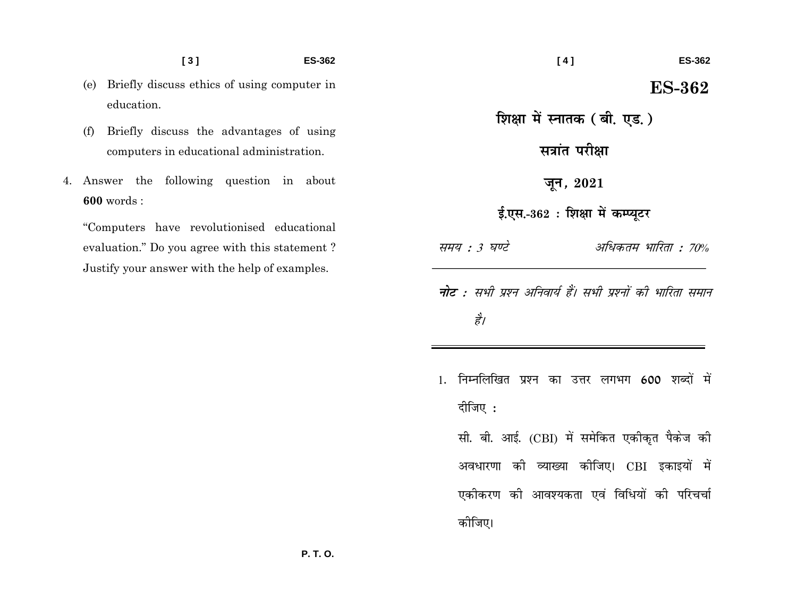$\left[3\right]$ 

**ES-362** 

- (e) Briefly discuss ethics of using computer in education.
- Briefly discuss the advantages of using  $(f)$ computers in educational administration.
- 4. Answer the following question in about  $600$  words :

"Computers have revolutionised educational evaluation." Do you agree with this statement? Justify your answer with the help of examples.

**ES-362** शिक्षा में स्नातक (बी. एड. ) सत्रांत परीक्षा जून, 2021 ई.एस.-362: शिक्षा में कम्प्यूटर समय : 3 घण्टे अधिकतम भारिता : 70% **नोट** : सभी प्रश्न अनिवार्य हैं। सभी प्रश्नों की भारिता समान है। 1. निम्नलिखित प्रश्न का उत्तर लगभग 600 शब्दों में दीजिए :

 $[4]$ 

सी. बी. आई. (CBI) में समेकित एकीकृत पैकेज की अवधारणा की व्याख्या कीजिए। CBI इकाइयों में एकोकरण को आवश्यकता एवं विधियों की परिचर्चा कोजिए।

**ES-362**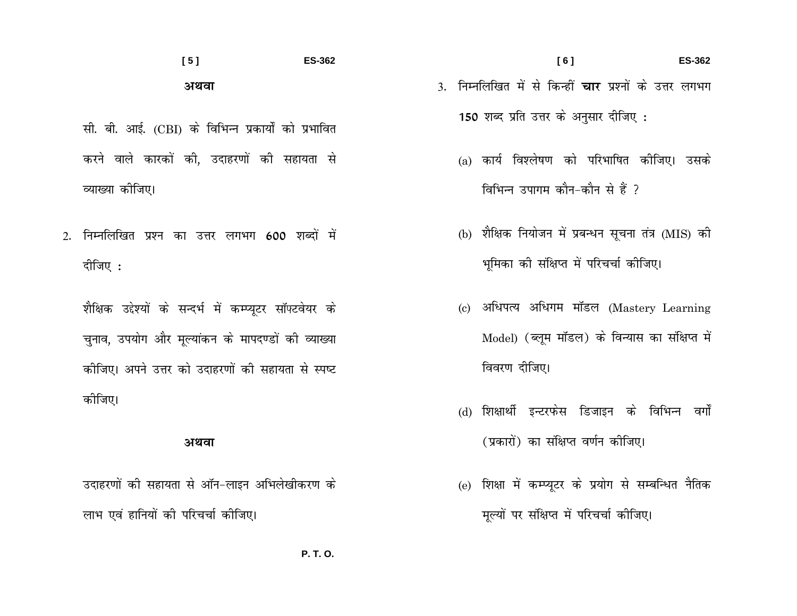# $[5]$ **ES-362** अथवा

- सी. बी. आई. (CBI) के विभिन्न प्रकार्यों को प्रभावित करने वाले कारकों की. उदाहरणों की सहायता से व्याख्या कीजिए।
- निम्नलिखित प्रश्न का उत्तर लगभग 600 शब्दों में  $2.$ दीजिए:

शैक्षिक उद्देश्यों के सन्दर्भ में कम्प्यूटर सॉफ्टवेयर के चुनाव, उपयोग और मूल्यांकन के मापदण्डों की व्याख्या कीजिए। अपने उत्तर को उदाहरणों की सहायता से स्पष्ट कोजिए।

#### अथवा

उदाहरणों की सहायता से ऑन-लाइन अभिलेखीकरण के लाभ एवं हानियों की परिचर्चा कीजिए।

- $[6]$ **ES-362** 3. निम्नलिखित में से किन्हीं **चार** प्रश्नों के उत्तर लगभग 150 शब्द प्रति उत्तर के अनुसार दीजिए :
	- (a) कार्य विश्लेषण को परिभाषित कीजिए। उसके विभिन्न उपागम कौन-कौन से हैं ?
	- (b) शैक्षिक नियोजन में प्रबन्धन सूचना तंत्र (MIS) की भूमिका को संक्षिप्त में परिचर्चा कोजिए।
	- (c) अधिपत्य अधिगम मॉडल (Mastery Learning Model) (ब्लूम मॉडल) के विन्यास का संक्षिप्त में विवरण दीजिए।
	- (d) शिक्षार्थी इन्टरफेस डिजाइन के विभिन्न वर्गों (प्रकारों) का संक्षिप्त वर्णन कोजिए।
	- (e) शिक्षा में कम्प्यूटर के प्रयोग से सम्बन्धित नैतिक मूल्यों पर संक्षिप्त में परिचर्चा कीजिए।